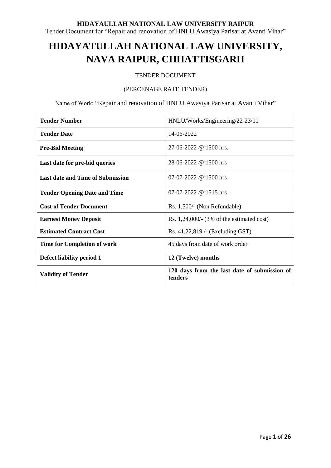Tender Document for "Repair and renovation of HNLU Awasiya Parisar at Avanti Vihar"

# **HIDAYATULLAH NATIONAL LAW UNIVERSITY, NAVA RAIPUR, CHHATTISGARH**

### TENDER DOCUMENT

### (PERCENAGE RATE TENDER)

Name of Work: "Repair and renovation of HNLU Awasiya Parisar at Avanti Vihar"

| <b>Tender Number</b>                    | HNLU/Works/Engineering/22-23/11                         |  |  |  |
|-----------------------------------------|---------------------------------------------------------|--|--|--|
| <b>Tender Date</b>                      | 14-06-2022                                              |  |  |  |
| <b>Pre-Bid Meeting</b>                  | 27-06-2022 @ 1500 hrs.                                  |  |  |  |
| Last date for pre-bid queries           | 28-06-2022 @ 1500 hrs                                   |  |  |  |
| <b>Last date and Time of Submission</b> | 07-07-2022 @ 1500 hrs                                   |  |  |  |
| <b>Tender Opening Date and Time</b>     | 07-07-2022 @ 1515 hrs                                   |  |  |  |
| <b>Cost of Tender Document</b>          | Rs. 1,500/- (Non Refundable)                            |  |  |  |
| <b>Earnest Money Deposit</b>            | Rs. $1,24,000/$ - (3% of the estimated cost)            |  |  |  |
| <b>Estimated Contract Cost</b>          | Rs. 41,22,819 /- (Excluding GST)                        |  |  |  |
| <b>Time for Completion of work</b>      | 45 days from date of work order                         |  |  |  |
| Defect liability period 1               | 12 (Twelve) months                                      |  |  |  |
| <b>Validity of Tender</b>               | 120 days from the last date of submission of<br>tenders |  |  |  |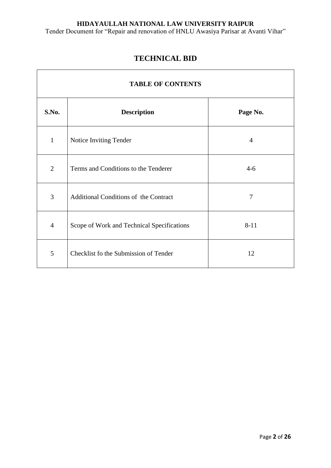Tender Document for "Repair and renovation of HNLU Awasiya Parisar at Avanti Vihar"

# **TECHNICAL BID**

 $\overline{1}$ 

| <b>TABLE OF CONTENTS</b> |                                            |                |  |  |
|--------------------------|--------------------------------------------|----------------|--|--|
| S.No.                    | <b>Description</b>                         | Page No.       |  |  |
| $\mathbf{1}$             | Notice Inviting Tender                     | $\overline{4}$ |  |  |
| $\overline{2}$           | Terms and Conditions to the Tenderer       | $4 - 6$        |  |  |
| 3                        | Additional Conditions of the Contract      | 7              |  |  |
| $\overline{4}$           | Scope of Work and Technical Specifications | $8 - 11$       |  |  |
| 5                        | Checklist fo the Submission of Tender      | 12             |  |  |

 $\overline{\phantom{a}}$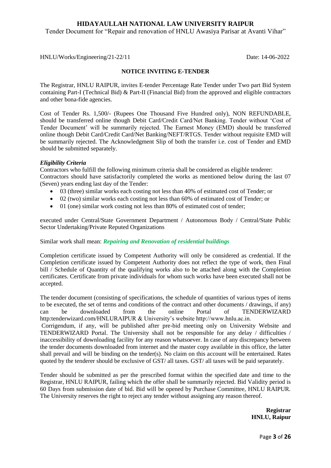Tender Document for "Repair and renovation of HNLU Awasiya Parisar at Avanti Vihar"

HNLU/Works/Engineering/21-22/11 Date: 14-06-2022

### **NOTICE INVITING E-TENDER**

The Registrar, HNLU RAIPUR, invites E-tender Percentage Rate Tender under Two part Bid System containing Part-I (Technical Bid) & Part-II (Financial Bid) from the approved and eligible contractors and other bona-fide agencies.

Cost of Tender Rs. 1,500/- (Rupees One Thousand Five Hundred only), NON REFUNDABLE, should be transferred online though Debit Card/Credit Card/Net Banking. Tender without "Cost of Tender Document" will be summarily rejected. The Earnest Money (EMD) should be transferred online though Debit Card/Credit Card/Net Banking/NEFT/RTGS. Tender without requisite EMD will be summarily rejected. The Acknowledgment Slip of both the transfer i.e. cost of Tender and EMD should be submitted separately.

### *Eligibility Criteria*

Contractors who fulfill the following minimum criteria shall be considered as eligible tenderer: Contractors should have satisfactorily completed the works as mentioned below during the last 07 (Seven) years ending last day of the Tender:

- 03 (three) similar works each costing not less than 40% of estimated cost of Tender; or
- 02 (two) similar works each costing not less than 60% of estimated cost of Tender; or
- 01 (one) similar work costing not less than 80% of estimated cost of tender;

executed under Central/State Government Department / Autonomous Body / Central/State Public Sector Undertaking/Private Reputed Organizations

Similar work shall mean: *Repairing and Renovation of residential buildings*

Completion certificate issued by Competent Authority will only be considered as credential. If the Completion certificate issued by Competent Authority does not reflect the type of work, then Final bill / Schedule of Quantity of the qualifying works also to be attached along with the Completion certificates. Certificate from private individuals for whom such works have been executed shall not be accepted.

The tender document (consisting of specifications, the schedule of quantities of various types of items to be executed, the set of terms and conditions of the contract and other documents / drawings, if any) can be downloaded from the online Portal of TENDERWIZARD http:tenderwizard.com/HNLURAIPUR & University"s website http://www.hnlu.ac.in. Corrigendum, if any, will be published after pre-bid meeting only on University Website and TENDERWIZARD Portal. The University shall not be responsible for any delay / difficulties / inaccessibility of downloading facility for any reason whatsoever. In case of any discrepancy between the tender documents downloaded from internet and the master copy available in this office, the latter shall prevail and will be binding on the tender(s). No claim on this account will be entertained. Rates quoted by the tenderer should be exclusive of GST/ all taxes. GST/ all taxes will be paid separately.

Tender should be submitted as per the prescribed format within the specified date and time to the Registrar, HNLU RAIPUR, failing which the offer shall be summarily rejected. Bid Validity period is 60 Days from submission date of bid. Bid will be opened by Purchase Committee, HNLU RAIPUR. The University reserves the right to reject any tender without assigning any reason thereof.

> **Registrar HNLU, Raipur**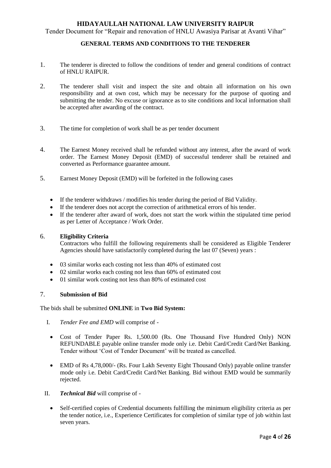Tender Document for "Repair and renovation of HNLU Awasiya Parisar at Avanti Vihar"

### **GENERAL TERMS AND CONDITIONS TO THE TENDERER**

- 1. The tenderer is directed to follow the conditions of tender and general conditions of contract of HNLU RAIPUR.
- 2. The tenderer shall visit and inspect the site and obtain all information on his own responsibility and at own cost, which may be necessary for the purpose of quoting and submitting the tender. No excuse or ignorance as to site conditions and local information shall be accepted after awarding of the contract.
- 3. The time for completion of work shall be as per tender document
- 4. The Earnest Money received shall be refunded without any interest, after the award of work order. The Earnest Money Deposit (EMD) of successful tenderer shall be retained and converted as Performance guarantee amount.
- 5. Earnest Money Deposit (EMD) will be forfeited in the following cases
	- If the tenderer withdraws / modifies his tender during the period of Bid Validity.
	- If the tenderer does not accept the correction of arithmetical errors of his tender.
	- If the tenderer after award of work, does not start the work within the stipulated time period as per Letter of Acceptance / Work Order.

### 6. **Eligibility Criteria**

Contractors who fulfill the following requirements shall be considered as Eligible Tenderer Agencies should have satisfactorily completed during the last 07 (Seven) years :

- 03 similar works each costing not less than 40% of estimated cost
- 02 similar works each costing not less than 60% of estimated cost
- 01 similar work costing not less than 80% of estimated cost

### 7. **Submission of Bid**

The bids shall be submitted **ONLINE** in **Two Bid System:**

- I. *Tender Fee and EMD* will comprise of -
- Cost of Tender Paper Rs. 1,500.00 (Rs. One Thousand Five Hundred Only) NON REFUNDABLE payable online transfer mode only i.e. Debit Card/Credit Card/Net Banking. Tender without 'Cost of Tender Document' will be treated as cancelled.
- EMD of Rs 4,78,000/- (Rs. Four Lakh Seventy Eight Thousand Only) payable online transfer mode only i.e. Debit Card/Credit Card/Net Banking. Bid without EMD would be summarily rejected.
- II. *Technical Bid* will comprise of
	- Self-certified copies of Credential documents fulfilling the minimum eligibility criteria as per the tender notice, i.e., Experience Certificates for completion of similar type of job within last seven years.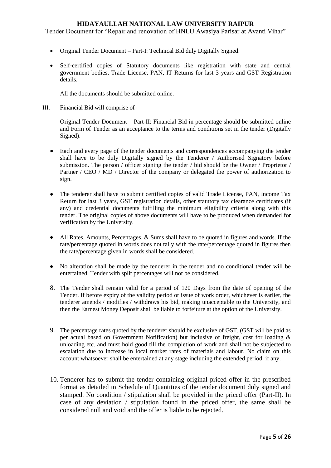Tender Document for "Repair and renovation of HNLU Awasiya Parisar at Avanti Vihar"

- Original Tender Document Part-I: Technical Bid duly Digitally Signed.
- Self-certified copies of Statutory documents like registration with state and central government bodies, Trade License, PAN, IT Returns for last 3 years and GST Registration details.

All the documents should be submitted online.

III. Financial Bid will comprise of-

Original Tender Document – Part-II: Financial Bid in percentage should be submitted online and Form of Tender as an acceptance to the terms and conditions set in the tender (Digitally Signed).

- Each and every page of the tender documents and correspondences accompanying the tender shall have to be duly Digitally signed by the Tenderer / Authorised Signatory before submission. The person / officer signing the tender / bid should be the Owner / Proprietor / Partner / CEO / MD / Director of the company or delegated the power of authorization to sign.
- The tenderer shall have to submit certified copies of valid Trade License, PAN, Income Tax Return for last 3 years, GST registration details, other statutory tax clearance certificates (if any) and credential documents fulfilling the minimum eligibility criteria along with this tender. The original copies of above documents will have to be produced when demanded for verification by the University.
- All Rates, Amounts, Percentages, & Sums shall have to be quoted in figures and words. If the rate/percentage quoted in words does not tally with the rate/percentage quoted in figures then the rate/percentage given in words shall be considered.
- No alteration shall be made by the tenderer in the tender and no conditional tender will be entertained. Tender with split percentages will not be considered.
- 8. The Tender shall remain valid for a period of 120 Days from the date of opening of the Tender. If before expiry of the validity period or issue of work order, whichever is earlier, the tenderer amends / modifies / withdraws his bid, making unacceptable to the University, and then the Earnest Money Deposit shall be liable to forfeiture at the option of the University.
- 9. The percentage rates quoted by the tenderer should be exclusive of GST, (GST will be paid as per actual based on Government Notification) but inclusive of freight, cost for loading & unloading etc. and must hold good till the completion of work and shall not be subjected to escalation due to increase in local market rates of materials and labour. No claim on this account whatsoever shall be entertained at any stage including the extended period, if any.
- 10. Tenderer has to submit the tender containing original priced offer in the prescribed format as detailed in Schedule of Quantities of the tender document duly signed and stamped. No condition / stipulation shall be provided in the priced offer (Part-II). In case of any deviation / stipulation found in the priced offer, the same shall be considered null and void and the offer is liable to be rejected.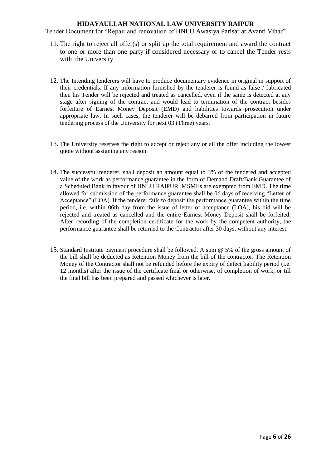- 11. The right to reject all offer(s) or split up the total requirement and award the contract to one or more than one party if considered necessary or to cancel the Tender rests with the University
- 12. The Intending tenderers will have to produce documentary evidence in original in support of their credentials. If any information furnished by the tenderer is found as false / fabricated then his Tender will be rejected and treated as cancelled, even if the same is detected at any stage after signing of the contract and would lead to termination of the contract besides forfeiture of Earnest Money Deposit (EMD) and liabilities towards prosecution under appropriate law. In such cases, the tenderer will be debarred from participation in future tendering process of the University for next 03 (Three) years.
- 13. The University reserves the right to accept or reject any or all the offer including the lowest quote without assigning any reason.
- 14. The successful tenderer, shall deposit an amount equal to 3% of the tendered and accepted value of the work as performance guarantee in the form of Demand Draft/Bank Guarantee of a Scheduled Bank in favour of HNLU RAIPUR. MSMEs are exempted from EMD. The time allowed for submission of the performance guarantee shall be 06 days of receiving "Letter of Acceptance" (LOA). If the tenderer fails to deposit the performance guarantee within the time period, i.e. within 06th day from the issue of letter of acceptance (LOA), his bid will be rejected and treated as cancelled and the entire Earnest Money Deposit shall be forfeited. After recording of the completion certificate for the work by the competent authority, the performance guarantee shall be returned to the Contractor after 30 days, without any interest.
- 15. Standard Institute payment procedure shall be followed. A sum @ 5% of the gross amount of the bill shall be deducted as Retention Money from the bill of the contractor. The Retention Money of the Contractor shall not be refunded before the expiry of defect liability period (i.e. 12 months) after the issue of the certificate final or otherwise, of completion of work, or till the final bill has been prepared and passed whichever is later.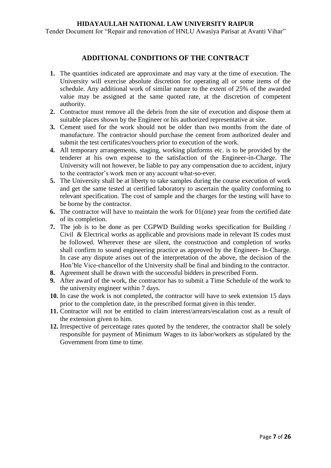Tender Document for "Repair and renovation of HNLU Awasiya Parisar at Avanti Vihar"

### **ADDITIONAL CONDITIONS OF THE CONTRACT**

- **1.** The quantities indicated are approximate and may vary at the time of execution. The University will exercise absolute discretion for operating all or some items of the schedule. Any additional work of similar nature to the extent of 25% of the awarded value may be assigned at the same quoted rate, at the discretion of competent authority.
- **2.** Contractor must remove all the debris from the site of execution and dispose them at suitable places shown by the Engineer or his authorized representative at site.
- **3.** Cement used for the work should not be older than two months from the date of manufacture. The contractor should purchase the cement from authorized dealer and submit the test certificates/vouchers prior to execution of the work.
- **4.** All temporary arrangements, staging, working platforms etc. is to be provided by the tenderer at his own expense to the satisfaction of the Engineer-in-Charge. The University will not however, be liable to pay any compensation due to accident, injury to the contractor"s work men or any account what-so-ever.
- **5.** The University shall be at liberty to take samples during the course execution of work and get the same tested at certified laboratory to ascertain the quality conforming to relevant specification. The cost of sample and the charges for the testing will have to be borne by the contractor.
- **6.** The contractor will have to maintain the work for 01(one) year from the certified date of its completion.
- **7.** The job is to be done as per CGPWD Building works specification for Building / Civil & Electrical works as applicable and provisions made in relevant IS codes must be followed. Wherever these are silent, the construction and completion of works shall confirm to sound engineering practice as approved by the Engineer- In-Charge. In case any dispute arises out of the interpretation of the above, the decision of the Hon"ble Vice-chancellor of the University shall be final and binding to the contractor.
- **8.** Agreement shall be drawn with the successful bidders in prescribed Form.
- **9.** After award of the work, the contractor has to submit a Time Schedule of the work to the university engineer within 7 days.
- **10.** In case the work is not completed, the contractor will have to seek extension 15 days prior to the completion date, in the prescribed format given in this tender.
- **11.** Contractor will not be entitled to claim interest/arrears/escalation cost as a result of the extension given to him.
- **12.** Irrespective of percentage rates quoted by the tenderer, the contractor shall be solely responsible for payment of Minimum Wages to its labor/workers as stipulated by the Government from time to time.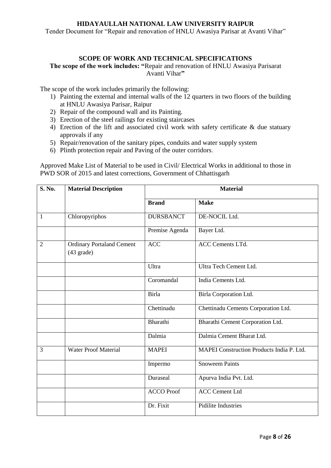Tender Document for "Repair and renovation of HNLU Awasiya Parisar at Avanti Vihar"

### **SCOPE OF WORK AND TECHNICAL SPECIFICATIONS**

**The scope of the work includes: "**Repair and renovation of HNLU Awasiya Parisarat Avanti Vihar**"**

The scope of the work includes primarily the following:

- 1) Painting the external and internal walls of the 12 quarters in two floors of the building at HNLU Awasiya Parisar, Raipur
- 2) Repair of the compound wall and its Painting.
- 3) Erection of the steel railings for existing staircases
- 4) Erection of the lift and associated civil work with safety certificate  $\&$  due statuary approvals if any
- 5) Repair/renovation of the sanitary pipes, conduits and water supply system
- 6) Plinth protection repair and Paving of the outer corridors.

Approved Make List of Material to be used in Civil/ Electrical Works in additional to those in PWD SOR of 2015 and latest corrections, Government of Chhattisgarh

| S. No.         | <b>Material Description</b>                              | <b>Material</b>   |                                           |  |  |
|----------------|----------------------------------------------------------|-------------------|-------------------------------------------|--|--|
|                |                                                          | <b>Brand</b>      | <b>Make</b>                               |  |  |
| 1              | Chloropyriphos                                           | <b>DURSBANCT</b>  | DE-NOCIL Ltd.                             |  |  |
|                |                                                          | Premise Agenda    | Bayer Ltd.                                |  |  |
| $\overline{2}$ | <b>Ordinary Portaland Cement</b><br>$(43 \text{ grade})$ | <b>ACC</b>        | ACC Cements LTd.                          |  |  |
|                |                                                          | Ultra             | Ultra Tech Cement Ltd.                    |  |  |
|                |                                                          | Coromandal        | India Cements Ltd.                        |  |  |
|                |                                                          | <b>Birla</b>      | Birla Corporation Ltd.                    |  |  |
|                |                                                          | Chettinadu        | Chettinadu Cements Corporation Ltd.       |  |  |
|                |                                                          | Bharathi          | Bharathi Cement Corporation Ltd.          |  |  |
|                |                                                          | Dalmia            | Dalmia Cement Bharat Ltd.                 |  |  |
| 3              | <b>Water Proof Material</b>                              | <b>MAPEI</b>      | MAPEI Construction Products India P. Ltd. |  |  |
|                |                                                          | Impermo           | <b>Snoweem Paints</b>                     |  |  |
|                |                                                          | Duraseal          | Apurva India Pvt. Ltd.                    |  |  |
|                |                                                          | <b>ACCO Proof</b> | <b>ACC Cement Ltd</b>                     |  |  |
|                |                                                          | Dr. Fixit         | <b>Pidilite Industries</b>                |  |  |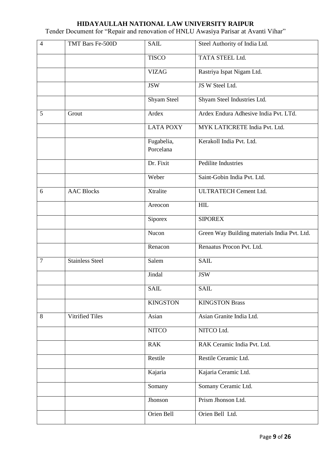| $\overline{4}$ | TMT Bars Fe-500D       | <b>SAIL</b>             | Steel Authority of India Ltd.                |
|----------------|------------------------|-------------------------|----------------------------------------------|
|                |                        | <b>TISCO</b>            | TATA STEEL Ltd.                              |
|                |                        | <b>VIZAG</b>            | Rastriya Ispat Nigam Ltd.                    |
|                |                        | <b>JSW</b>              | JS W Steel Ltd.                              |
|                |                        | Shyam Steel             | Shyam Steel Industries Ltd.                  |
| 5              | Grout                  | Ardex                   | Ardex Endura Adhesive India Pvt. LTd.        |
|                |                        | <b>LATA POXY</b>        | MYK LATICRETE India Pvt. Ltd.                |
|                |                        | Fugabelia,<br>Porcelana | Kerakoll India Pvt. Ltd.                     |
|                |                        | Dr. Fixit               | Pedilite Industries                          |
|                |                        | Weber                   | Saint-Gobin India Pvt. Ltd.                  |
| 6              | <b>AAC Blocks</b>      | Xtralite                | <b>ULTRATECH Cement Ltd.</b>                 |
|                |                        | Areocon                 | <b>HIL</b>                                   |
|                |                        | Siporex                 | <b>SIPOREX</b>                               |
|                |                        | Nucon                   | Green Way Building materials India Pvt. Ltd. |
|                |                        | Renacon                 | Renaatus Procon Pvt. Ltd.                    |
| $\overline{7}$ | <b>Stainless Steel</b> | Salem                   | <b>SAIL</b>                                  |
|                |                        | Jindal                  | <b>JSW</b>                                   |
|                |                        | <b>SAIL</b>             | <b>SAIL</b>                                  |
|                |                        | <b>KINGSTON</b>         | <b>KINGSTON Brass</b>                        |
| 8              | <b>Vitrified Tiles</b> | Asian                   | Asian Granite India Ltd.                     |
|                |                        | <b>NITCO</b>            | NITCO Ltd.                                   |
|                |                        | <b>RAK</b>              | RAK Ceramic India Pvt. Ltd.                  |
|                |                        | Restile                 | Restile Ceramic Ltd.                         |
|                |                        | Kajaria                 | Kajaria Ceramic Ltd.                         |
|                |                        | Somany                  | Somany Ceramic Ltd.                          |
|                |                        | Jhonson                 | Prism Jhonson Ltd.                           |
|                |                        | Orien Bell              | Orien Bell Ltd.                              |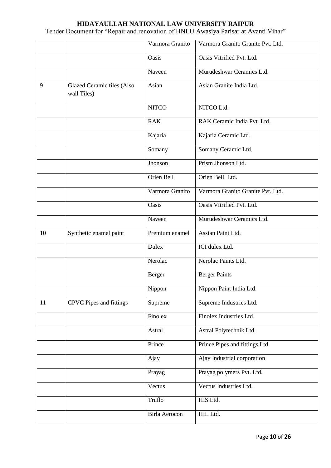|    |                                                  | Varmora Granito | Varmora Granito Granite Pvt. Ltd. |
|----|--------------------------------------------------|-----------------|-----------------------------------|
|    |                                                  | Oasis           | Oasis Vitrified Pvt. Ltd.         |
|    |                                                  | Naveen          | Murudeshwar Ceramics Ltd.         |
| 9  | <b>Glazed Ceramic tiles (Also</b><br>wall Tiles) | Asian           | Asian Granite India Ltd.          |
|    |                                                  | <b>NITCO</b>    | NITCO Ltd.                        |
|    |                                                  | <b>RAK</b>      | RAK Ceramic India Pvt. Ltd.       |
|    |                                                  | Kajaria         | Kajaria Ceramic Ltd.              |
|    |                                                  | Somany          | Somany Ceramic Ltd.               |
|    |                                                  | Jhonson         | Prism Jhonson Ltd.                |
|    |                                                  | Orien Bell      | Orien Bell Ltd.                   |
|    |                                                  | Varmora Granito | Varmora Granito Granite Pvt. Ltd. |
|    |                                                  | Oasis           | Oasis Vitrified Pvt. Ltd.         |
|    |                                                  | Naveen          | Murudeshwar Ceramics Ltd.         |
| 10 | Synthetic enamel paint                           | Premium enamel  | Assian Paint Ltd.                 |
|    |                                                  | Dulex           | ICI dulex Ltd.                    |
|    |                                                  | Nerolac         | Nerolac Paints Ltd.               |
|    |                                                  | Berger          | <b>Berger Paints</b>              |
|    |                                                  | Nippon          | Nippon Paint India Ltd.           |
| 11 | CPVC Pipes and fittings                          | Supreme         | Supreme Industries Ltd.           |
|    |                                                  | Finolex         | Finolex Industries Ltd.           |
|    |                                                  | Astral          | Astral Polytechnik Ltd.           |
|    |                                                  | Prince          | Prince Pipes and fittings Ltd.    |
|    |                                                  | Ajay            | Ajay Industrial corporation       |
|    |                                                  | Prayag          | Prayag polymers Pvt. Ltd.         |
|    |                                                  | Vectus          | Vectus Industries Ltd.            |
|    |                                                  | Truflo          | HIS Ltd.                          |
|    |                                                  | Birla Aerocon   | HIL Ltd.                          |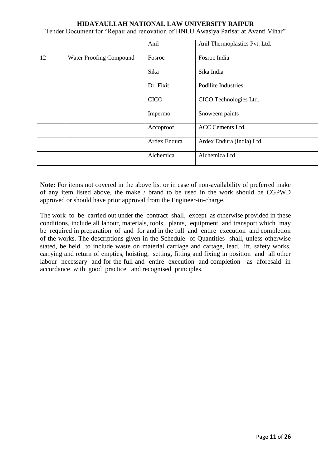Tender Document for "Repair and renovation of HNLU Awasiya Parisar at Avanti Vihar"

|    |                         | Anil         | Anil Thermoplastics Pvt. Ltd. |
|----|-------------------------|--------------|-------------------------------|
| 12 | Water Proofing Compound | Fosroc       | Fosroc India                  |
|    |                         | Sika         | Sika India                    |
|    |                         | Dr. Fixit    | Podilite Industries           |
|    |                         | <b>CICO</b>  | CICO Technologies Ltd.        |
|    |                         | Impermo      | Snoweem paints                |
|    |                         | Accoproof    | <b>ACC Cements Ltd.</b>       |
|    |                         | Ardex Endura | Ardex Endura (India) Ltd.     |
|    |                         | Alchemica    | Alchemica Ltd.                |

**Note:** For items not covered in the above list or in case of non-availability of preferred make of any item listed above, the make / brand to be used in the work should be CGPWD approved or should have prior approval from the Engineer-in-charge.

The work to be carried out under the contract shall, except as otherwise provided in these conditions, include all labour, materials, tools, plants, equipment and transport which may be required in preparation of and for and in the full and entire execution and completion of the works. The descriptions given in the Schedule of Quantities shall, unless otherwise stated, be held to include waste on material carriage and cartage, lead, lift, safety works, carrying and return of empties, hoisting, setting, fitting and fixing in position and all other labour necessary and for the full and entire execution and completion as aforesaid in accordance with good practice and recognised principles.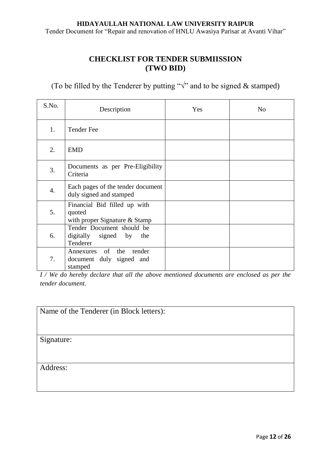Tender Document for "Repair and renovation of HNLU Awasiya Parisar at Avanti Vihar"

# **CHECKLIST FOR TENDER SUBMIISSION (TWO BID)**

(To be filled by the Tenderer by putting " $\sqrt{ }$ " and to be signed & stamped)

| S.No. | Description                                                               | Yes | N <sub>o</sub> |
|-------|---------------------------------------------------------------------------|-----|----------------|
| 1.    | <b>Tender Fee</b>                                                         |     |                |
| 2.    | <b>EMD</b>                                                                |     |                |
| 3.    | Documents as per Pre-Eligibility<br>Criteria                              |     |                |
| 4.    | Each pages of the tender document<br>duly signed and stamped              |     |                |
| 5.    | Financial Bid filled up with<br>quoted<br>with proper Signature $&$ Stamp |     |                |
| 6.    | Tender Document should be<br>digitally signed by<br>the<br>Tenderer       |     |                |
| 7.    | of the<br>tender<br>Annexures<br>document duly signed and<br>stamped      |     |                |

*I / We do hereby declare that all the above mentioned documents are enclosed as per the tender document.* 

| Name of the Tenderer (in Block letters): |
|------------------------------------------|
|                                          |
|                                          |
| Signature:                               |
|                                          |
|                                          |
| Address:                                 |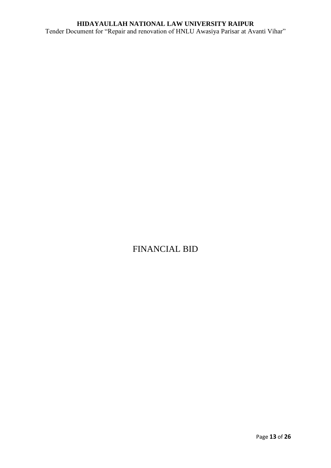# **HIDAYAULLAH NATIONAL LAW UNIVERSITY RAIPUR** Tender Document for "Repair and renovation of HNLU Awasiya Parisar at Avanti Vihar"

# FINANCIAL BID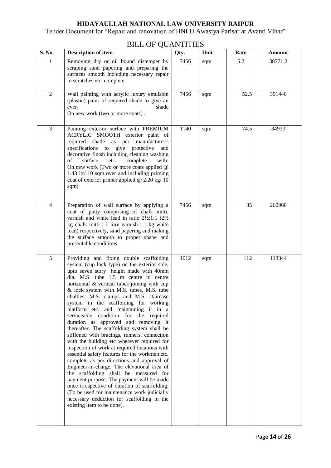Tender Document for "Repair and renovation of HNLU Awasiya Parisar at Avanti Vihar"

| S. No.         | <b>Description of item</b>                                                                                                                                                                                                                                                                                                                                                                                                                                                                                                                                                                                                                                                                                                                                                                                                                                                                                                                                                                                                                                                                             | Qty. | Unit | Rate | <b>Amount</b> |
|----------------|--------------------------------------------------------------------------------------------------------------------------------------------------------------------------------------------------------------------------------------------------------------------------------------------------------------------------------------------------------------------------------------------------------------------------------------------------------------------------------------------------------------------------------------------------------------------------------------------------------------------------------------------------------------------------------------------------------------------------------------------------------------------------------------------------------------------------------------------------------------------------------------------------------------------------------------------------------------------------------------------------------------------------------------------------------------------------------------------------------|------|------|------|---------------|
| 1              | Removing dry or oil bound distemper by<br>scraping sand papering and preparing the<br>surfaces smooth including necessary repair<br>to scratches etc. complete.                                                                                                                                                                                                                                                                                                                                                                                                                                                                                                                                                                                                                                                                                                                                                                                                                                                                                                                                        | 7456 | sqm  | 5.2  | 38771.2       |
| $\overline{2}$ | Wall painting with acrylic luxury emulsion<br>(plastic) paint of required shade to give an<br>shade<br>even<br>On new work (two or more coats).                                                                                                                                                                                                                                                                                                                                                                                                                                                                                                                                                                                                                                                                                                                                                                                                                                                                                                                                                        | 7456 | sqm  | 52.5 | 391440        |
| 3              | Painting exterior surface with PREMIUM<br>ACRYLIC SMOOTH exterior paint of<br>required shade as per manufacturer's<br>specifications to give protective<br>and<br>decorative finish including cleaning washing<br>of<br>surface<br>complete<br>etc.<br>with:<br>On new work (Two or more coats applied @<br>1.43 ltr/ 10 sqm over and including priming<br>coat of exterior primer applied $@ 2.20 \text{ kg}/10$<br>sqm)                                                                                                                                                                                                                                                                                                                                                                                                                                                                                                                                                                                                                                                                              | 1140 | sqm  | 74.5 | 84930         |
| $\overline{4}$ | Preparation of wall surface by applying a<br>coat of putty comprising of chalk mitti,<br>varnish and white lead in ratio $2\frac{1}{2}$ :1:1 ( $2\frac{1}{2}$<br>kg chalk mitti : 1 litre varnish : 1 kg white<br>lead) respectively, sand papering and making<br>the surface smooth to proper shape and<br>presentable conditions.                                                                                                                                                                                                                                                                                                                                                                                                                                                                                                                                                                                                                                                                                                                                                                    | 7456 | sqm  | 35   | 260960        |
| 5              | Providing and fixing double scaffolding<br>system (cup lock type) on the exterior side,<br>upto seven story height made with 40mm<br>dia. M.S. tube 1.5 m centre to centre<br>horizontal & vertical tubes joining with cup<br>& lock system with M.S. tubes, M.S. tube<br>challies, M.S. clamps and M.S. staircase<br>system in the scaffolding for working<br>platform etc. and maintaining it in a<br>serviceable condition for the required<br>duration as approved and removing it<br>thereafter. The scaffolding system shall be<br>stiffened with bracings, runners, connection<br>with the building etc wherever required for<br>inspection of work at required locations with<br>essential safety features for the workmen etc.<br>complete as per directions and approval of<br>Engineer-in-charge. The elevational area of<br>the scaffolding shall be measured for<br>payment purpose. The payment will be made<br>once irrespective of duration of scaffolding.<br>(To be used for maintenance work judicially<br>necessary deduction for scaffolding in the<br>existing item to be done). | 1012 | sqm  | 112  | 113344        |

# BILL OF QUANTITIES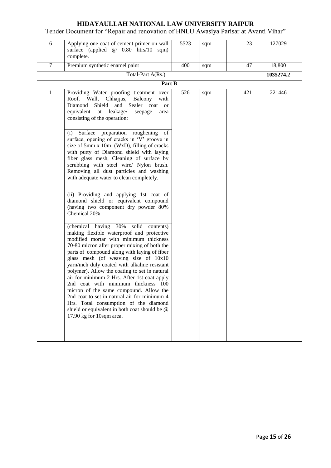| 6      | Applying one coat of cement primer on wall<br>surface (applied @ 0.80 litrs/10 sqm)<br>complete.                                                                                                                                                                                                                                                                                                                                                                                                                                                                                                                                                                                | 5523 | sqm | 23  | 127029    |
|--------|---------------------------------------------------------------------------------------------------------------------------------------------------------------------------------------------------------------------------------------------------------------------------------------------------------------------------------------------------------------------------------------------------------------------------------------------------------------------------------------------------------------------------------------------------------------------------------------------------------------------------------------------------------------------------------|------|-----|-----|-----------|
| $\tau$ | Premium synthetic enamel paint                                                                                                                                                                                                                                                                                                                                                                                                                                                                                                                                                                                                                                                  | 400  | sqm | 47  | 18,800    |
|        | Total-Part A(Rs.)                                                                                                                                                                                                                                                                                                                                                                                                                                                                                                                                                                                                                                                               |      |     |     | 1035274.2 |
|        | Part B                                                                                                                                                                                                                                                                                                                                                                                                                                                                                                                                                                                                                                                                          |      |     |     |           |
| 1      | Providing Water proofing treatment over<br>Roof, Wall, Chhajjas,<br>Balcony<br>with<br>Diamond Shield and Sealer coat<br><sub>or</sub><br>equivalent at leakage/<br>seepage<br>area<br>consisting of the operation:                                                                                                                                                                                                                                                                                                                                                                                                                                                             | 526  | sqm | 421 | 221446    |
|        | preparation roughening<br>Surface<br>(i)<br>οf<br>surface, opening of cracks in 'V' groove in<br>size of 5mm x 10m (WxD), filling of cracks<br>with putty of Diamond shield with laying<br>fiber glass mesh, Cleaning of surface by<br>scrubbing with steel wire/ Nylon brush.<br>Removing all dust particles and washing<br>with adequate water to clean completely.                                                                                                                                                                                                                                                                                                           |      |     |     |           |
|        | (ii) Providing and applying 1st coat of<br>diamond shield or equivalent compound<br>(having two component dry powder 80%<br>Chemical 20%                                                                                                                                                                                                                                                                                                                                                                                                                                                                                                                                        |      |     |     |           |
|        | (chemical having 30%)<br>solid contents)<br>making flexible waterproof and protective<br>modified mortar with minimum thickness<br>70-80 micron after proper mixing of both the<br>parts of compound along with laying of fiber<br>glass mesh (of weaving size of 10x10<br>yarn/inch duly coated with alkaline resistant<br>polymer). Allow the coating to set in natural<br>air for minimum 2 Hrs. After 1st coat apply<br>2nd coat with minimum thickness 100<br>micron of the same compound. Allow the<br>2nd coat to set in natural air for minimum 4<br>Hrs. Total consumption of the diamond<br>shield or equivalent in both coat should be @<br>17.90 kg for 10sqm area. |      |     |     |           |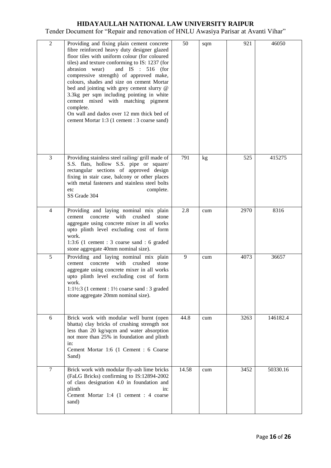| $\overline{2}$ | Providing and fixing plain cement concrete<br>fibre reinforced heavy duty designer glazed<br>floor tiles with uniform colour (for coloured<br>tiles) and texture conforming to IS: 1237 (for<br>and IS : 516 (for<br>abrasion wear)<br>compressive strength) of approved make,<br>colours, shades and size on cement Mortar<br>bed and jointing with grey cement slurry @<br>3.3kg per sqm including pointing in white<br>cement mixed with matching pigment<br>complete.<br>On wall and dados over 12 mm thick bed of<br>cement Mortar 1:3 (1 cement : 3 coarse sand) | 50    | sqm | 921  | 46050    |
|----------------|------------------------------------------------------------------------------------------------------------------------------------------------------------------------------------------------------------------------------------------------------------------------------------------------------------------------------------------------------------------------------------------------------------------------------------------------------------------------------------------------------------------------------------------------------------------------|-------|-----|------|----------|
| 3              | Providing stainless steel railing/ grill made of<br>S.S. flats, hollow S.S. pipe or square/<br>rectangular sections of approved design<br>fixing in stair case, balcony or other places<br>with metal fasteners and stainless steel bolts<br>complete.<br>etc<br>SS Grade 304                                                                                                                                                                                                                                                                                          | 791   | kg  | 525  | 415275   |
| $\overline{4}$ | Providing and laying nominal mix plain<br>with<br>concrete<br>crushed<br>cement<br>stone<br>aggregate using concrete mixer in all works<br>upto plinth level excluding cost of form<br>work.<br>1:3:6 (1 cement : 3 coarse sand : 6 graded<br>stone aggregate 40mm nominal size).                                                                                                                                                                                                                                                                                      | 2.8   | cum | 2970 | 8316     |
| 5              | Providing and laying nominal mix plain<br>with<br>crushed<br>cement<br>concrete<br>stone<br>aggregate using concrete mixer in all works<br>upto plinth level excluding cost of form<br>work.<br>1:1½:3 (1 cement : $1\frac{1}{2}$ coarse sand : 3 graded<br>stone aggregate 20mm nominal size).                                                                                                                                                                                                                                                                        | 9     | cum | 4073 | 36657    |
| 6              | Brick work with modular well burnt (open<br>bhatta) clay bricks of crushing strength not<br>less than 20 kg/sqcm and water absorption<br>not more than 25% in foundation and plinth<br>in:<br>Cement Mortar 1:6 (1 Cement : 6 Coarse<br>Sand)                                                                                                                                                                                                                                                                                                                          | 44.8  | cum | 3263 | 146182.4 |
| $\tau$         | Brick work with modular fly-ash lime bricks<br>(FaLG Bricks) confirming to IS:12894-2002<br>of class designation 4.0 in foundation and<br>plinth<br>in:<br>Cement Mortar 1:4 (1 cement : 4 coarse<br>sand)                                                                                                                                                                                                                                                                                                                                                             | 14.58 | cum | 3452 | 50330.16 |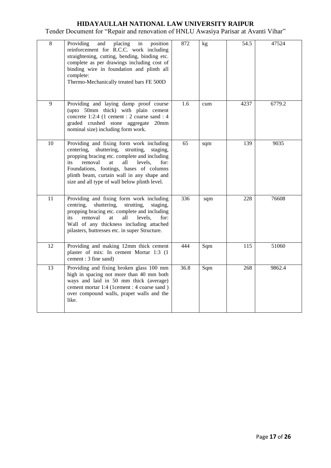| $\overline{8}$ | Providing<br>and<br>placing<br>in<br>position<br>reinforcement for R.C.C. work including<br>straightening, cutting, bending, binding etc.<br>complete as per drawings including cost of<br>binding wire in foundation and plinth all<br>complete:<br>Thermo-Mechanically treated bars FE 500D                                               | 872  | kg  | 54.5 | 47524  |
|----------------|---------------------------------------------------------------------------------------------------------------------------------------------------------------------------------------------------------------------------------------------------------------------------------------------------------------------------------------------|------|-----|------|--------|
| 9              | Providing and laying damp proof course<br>(upto 50mm thick) with plain cement<br>concrete 1:2:4 (1 cement : 2 coarse sand : 4<br>graded crushed stone aggregate 20mm<br>nominal size) including form work.                                                                                                                                  | 1.6  | cum | 4237 | 6779.2 |
| 10             | Providing and fixing form work including<br>centering,<br>shuttering,<br>strutting,<br>staging.<br>propping bracing etc. complete and including<br>removal<br>at<br>all<br>levels,<br>for:<br>its<br>Foundations, footings, bases of columns<br>plinth beam, curtain wall in any shape and<br>size and all type of wall below plinth level. | 65   | sqm | 139  | 9035   |
| 11             | Providing and fixing form work including<br>centring,<br>shuttering,<br>strutting,<br>staging,<br>propping bracing etc. complete and including<br>removal<br>all<br>levels,<br>for:<br>its<br>at<br>Wall of any thickness including attached<br>pilasters, buttresses etc. in super Structure.                                              | 336  | sqm | 228  | 76608  |
| 12             | Providing and making 12mm thick cement<br>plaster of mix: In cement Mortar 1:3 (1<br>cement: 3 fine sand)                                                                                                                                                                                                                                   | 444  | Sqm | 115  | 51060  |
| 13             | Providing and fixing broken glass 100 mm<br>high in spacing not more than 40 mm both<br>ways and laid in 50 mm thick (average)<br>cement mortar 1:4 (1cement : 4 coarse sand)<br>over compound walls, prapet walls and the<br>like.                                                                                                         | 36.8 | Sqm | 268  | 9862.4 |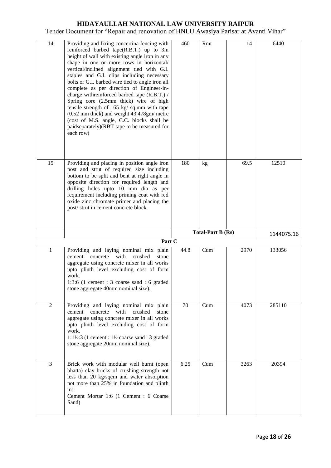| 14 |                                                                                                                                                                                                                                                                                                                                                                                                                                                                                                                                                                                                                                                                                         |      |                          |      |            |
|----|-----------------------------------------------------------------------------------------------------------------------------------------------------------------------------------------------------------------------------------------------------------------------------------------------------------------------------------------------------------------------------------------------------------------------------------------------------------------------------------------------------------------------------------------------------------------------------------------------------------------------------------------------------------------------------------------|------|--------------------------|------|------------|
|    | Providing and fixing concertina fencing with<br>reinforced barbed tape(R.B.T.) up to 3m<br>height of wall with existing angle iron in any<br>shape in one or more rows in horizontal/<br>vertical/inclined alignment tied with G.I.<br>staples and G.I. clips including necessary<br>bolts or G.I. barbed wire tied to angle iron all<br>complete as per direction of Engineer-in-<br>charge withreinforced barbed tape (R.B.T.) /<br>Spring core (2.5mm thick) wire of high<br>tensile strength of 165 kg/ sq.mm with tape<br>$(0.52$ mm thick) and weight $43.478$ gm/ metre<br>(cost of M.S. angle, C.C. blocks shall be<br>paidseparately)(RBT tape to be measured for<br>each row) | 460  | Rmt                      | 14   | 6440       |
| 15 | Providing and placing in position angle iron<br>post and strut of required size including<br>bottom to be split and bent at right angle in<br>opposite direction for required length and<br>drilling holes upto 10 mm dia as per<br>requirement including priming coat with red<br>oxide zinc chromate primer and placing the<br>post/ strut in cement concrete block.                                                                                                                                                                                                                                                                                                                  | 180  | kg                       | 69.5 | 12510      |
|    |                                                                                                                                                                                                                                                                                                                                                                                                                                                                                                                                                                                                                                                                                         |      | <b>Total-Part B (Rs)</b> |      | 1144075.16 |
|    | Part C                                                                                                                                                                                                                                                                                                                                                                                                                                                                                                                                                                                                                                                                                  |      |                          |      |            |
| 1  | Providing and laying nominal mix plain<br>with<br>crushed<br>concrete<br>cement<br>stone<br>aggregate using concrete mixer in all works<br>upto plinth level excluding cost of form                                                                                                                                                                                                                                                                                                                                                                                                                                                                                                     | 44.8 | Cum                      | 2970 | 133056     |
|    | work.<br>1:3:6 (1 cement : 3 coarse sand : 6 graded<br>stone aggregate 40mm nominal size).                                                                                                                                                                                                                                                                                                                                                                                                                                                                                                                                                                                              |      |                          |      |            |
| 2  | Providing and laying nominal mix plain<br>concrete with<br>crushed<br>cement<br>stone<br>aggregate using concrete mixer in all works<br>upto plinth level excluding cost of form<br>work.<br>$1:1\frac{1}{2}:3$ (1 cement : $1\frac{1}{2}$ coarse sand : 3 graded<br>stone aggregate 20mm nominal size).                                                                                                                                                                                                                                                                                                                                                                                | 70   | Cum                      | 4073 | 285110     |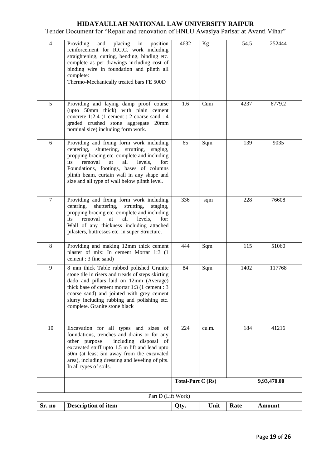| $\overline{4}$ | Providing<br>and<br>placing in<br>position<br>reinforcement for R.C.C. work including<br>straightening, cutting, bending, binding etc.<br>complete as per drawings including cost of<br>binding wire in foundation and plinth all<br>complete:<br>Thermo-Mechanically treated bars FE 500D                                         | 4632                             | Kg    | 54.5 | 252444        |
|----------------|------------------------------------------------------------------------------------------------------------------------------------------------------------------------------------------------------------------------------------------------------------------------------------------------------------------------------------|----------------------------------|-------|------|---------------|
| 5              | Providing and laying damp proof course<br>(upto 50mm thick) with plain cement<br>concrete 1:2:4 (1 cement : 2 coarse sand : 4<br>graded crushed stone aggregate 20mm<br>nominal size) including form work.                                                                                                                         | 1.6                              | Cum   | 4237 | 6779.2        |
| 6              | Providing and fixing form work including<br>centering, shuttering, strutting, staging,<br>propping bracing etc. complete and including<br>removal<br>all<br>levels,<br>its<br>at<br>for:<br>Foundations, footings, bases of columns<br>plinth beam, curtain wall in any shape and<br>size and all type of wall below plinth level. | 65                               | Sqm   | 139  | 9035          |
| $\tau$         | Providing and fixing form work including<br>centring,<br>shuttering,<br>strutting,<br>staging,<br>propping bracing etc. complete and including<br>removal<br>all<br>levels,<br>for:<br>its<br>at<br>Wall of any thickness including attached<br>pilasters, buttresses etc. in super Structure.                                     | 336                              | sqm   | 228  | 76608         |
| 8              | Providing and making 12mm thick cement<br>plaster of mix: In cement Mortar 1:3 (1<br>cement: 3 fine sand)                                                                                                                                                                                                                          | 444                              | Sqm   | 115  | 51060         |
| 9              | 8 mm thick Table rubbed polished Granite<br>stone tile in risers and treads of steps skirting<br>dado and pillars laid on 12mm (Average)<br>thick base of cement mortar 1:3 (1 cement : 3<br>coarse sand) and jointed with grey cement<br>slurry including rubbing and polishing etc.<br>complete. Granite stone black             | 84                               | Sqm   | 1402 | 117768        |
| 10             | Excavation for all types and sizes of<br>foundations, trenches and drains or for any<br>including disposal<br>other purpose<br>of<br>excavated stuff upto 1.5 m lift and lead upto<br>50m (at least 5m away from the excavated<br>area), including dressing and leveling of pits.<br>In all types of soils.                        | 224                              | cu.m. | 184  | 41216         |
|                |                                                                                                                                                                                                                                                                                                                                    | Total-Part C (Rs)<br>9,93,470.00 |       |      |               |
| Sr. no         | Part D (Lift Work)<br><b>Description of item</b>                                                                                                                                                                                                                                                                                   |                                  | Unit  | Rate | <b>Amount</b> |
|                |                                                                                                                                                                                                                                                                                                                                    | Qty.                             |       |      |               |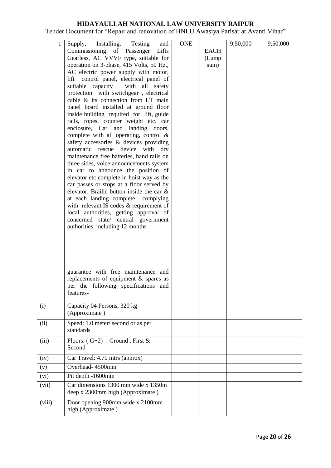| 1      | Installing, Testing<br>Supply,<br>and                                         | <b>ONE</b> |             | 9,50,000 | 9,50,000 |
|--------|-------------------------------------------------------------------------------|------------|-------------|----------|----------|
|        | Commissioning of Passenger<br>Lifts                                           |            | <b>EACH</b> |          |          |
|        | Gearless, AC VVVF type, suitable for                                          |            | (Lump       |          |          |
|        | operation on 3-phase, 415 Volts, 50 Hz.,                                      |            | sum)        |          |          |
|        | AC electric power supply with motor,                                          |            |             |          |          |
|        | control panel, electrical panel of<br>lift                                    |            |             |          |          |
|        | suitable capacity<br>with all safety                                          |            |             |          |          |
|        | protection with switchgear, electrical                                        |            |             |          |          |
|        | cable & its connection from LT main                                           |            |             |          |          |
|        | panel board installed at ground floor                                         |            |             |          |          |
|        | inside building required for lift, guide                                      |            |             |          |          |
|        | rails, ropes, counter weight etc. car<br>enclosure, Car and landing doors,    |            |             |          |          |
|        | complete with all operating, control $\&$                                     |            |             |          |          |
|        | safety accessories & devices providing                                        |            |             |          |          |
|        | automatic rescue device with<br>dry                                           |            |             |          |          |
|        | maintenance free batteries, hand rails on                                     |            |             |          |          |
|        | three sides, voice announcements system                                       |            |             |          |          |
|        | in car to announce the position of                                            |            |             |          |          |
|        | elevator etc complete in hoist way as the                                     |            |             |          |          |
|        | car passes or stops at a floor served by                                      |            |             |          |          |
|        | elevator, Braille button inside the car &                                     |            |             |          |          |
|        | at each landing complete complying                                            |            |             |          |          |
|        | with relevant IS codes & requirement of                                       |            |             |          |          |
|        | local authorities, getting approval of<br>concerned state/ central government |            |             |          |          |
|        | authorities including 12 months                                               |            |             |          |          |
|        |                                                                               |            |             |          |          |
|        |                                                                               |            |             |          |          |
|        |                                                                               |            |             |          |          |
|        |                                                                               |            |             |          |          |
|        |                                                                               |            |             |          |          |
|        | guarantee with free maintenance and                                           |            |             |          |          |
|        | replacements of equipment $\&$ spares as                                      |            |             |          |          |
|        | per the following specifications and                                          |            |             |          |          |
|        | features-                                                                     |            |             |          |          |
|        |                                                                               |            |             |          |          |
| (i)    | Capacity 04 Persons, 320 kg                                                   |            |             |          |          |
|        | (Approximate)                                                                 |            |             |          |          |
| (ii)   | Speed: 1.0 meter/ second or as per                                            |            |             |          |          |
|        | standards                                                                     |            |             |          |          |
| (iii)  | Floors: $(G+2)$ - Ground, First &                                             |            |             |          |          |
|        | Second                                                                        |            |             |          |          |
| (iv)   | Car Travel: 4.70 mtrs (approx)                                                |            |             |          |          |
| (v)    | Overhead-4500mm                                                               |            |             |          |          |
| (vi)   | Pit depth -1600mm                                                             |            |             |          |          |
| (vii)  | Car dimensions 1300 mm wide x 1350m                                           |            |             |          |          |
|        | deep x 2300mm high (Approximate)                                              |            |             |          |          |
| (viii) | Door opening 900mm wide x 2100mm                                              |            |             |          |          |
|        | high (Approximate)                                                            |            |             |          |          |
|        |                                                                               |            |             |          |          |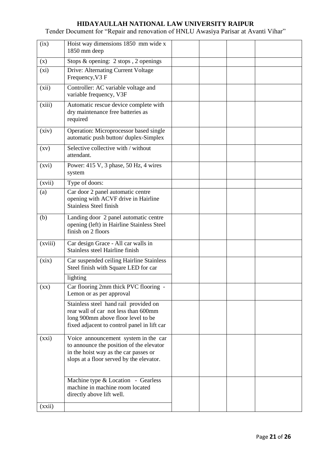| (ix)                     | Hoist way dimensions 1850 mm wide x<br>1850 mm deep                                                                                                                   |  |  |
|--------------------------|-----------------------------------------------------------------------------------------------------------------------------------------------------------------------|--|--|
| (x)                      | Stops & opening: 2 stops, 2 openings                                                                                                                                  |  |  |
| (xi)                     | Drive: Alternating Current Voltage<br>Frequency, V3 F                                                                                                                 |  |  |
| (xii)                    | Controller: AC variable voltage and<br>variable frequency, V3F                                                                                                        |  |  |
| (xiii)                   | Automatic rescue device complete with<br>dry maintenance free batteries as<br>required                                                                                |  |  |
| (xiv)                    | Operation: Microprocessor based single<br>automatic push button/duplex-Simplex                                                                                        |  |  |
| $\left( xy\right)$       | Selective collective with / without<br>attendant.                                                                                                                     |  |  |
| (xvi)                    | Power: 415 V, 3 phase, 50 Hz, 4 wires<br>system                                                                                                                       |  |  |
| (xvii)                   | Type of doors:                                                                                                                                                        |  |  |
| (a)                      | Car door 2 panel automatic centre<br>opening with ACVF drive in Hairline<br><b>Stainless Steel finish</b>                                                             |  |  |
| (b)                      | Landing door 2 panel automatic centre<br>opening (left) in Hairline Stainless Steel<br>finish on 2 floors                                                             |  |  |
| (xviii)                  | Car design Grace - All car walls in<br>Stainless steel Hairline finish                                                                                                |  |  |
| (xix)                    | Car suspended ceiling Hairline Stainless<br>Steel finish with Square LED for car                                                                                      |  |  |
|                          | lighting                                                                                                                                                              |  |  |
| $(\mathbf{X}\mathbf{X})$ | Car flooring 2mm thick PVC flooring -<br>Lemon or as per approval                                                                                                     |  |  |
|                          | Stainless steel hand rail provided on<br>rear wall of car not less than 600mm<br>long 900mm above floor level to be<br>fixed adjacent to control panel in lift car    |  |  |
| (xxi)                    | Voice announcement system in the car<br>to announce the position of the elevator<br>in the hoist way as the car passes or<br>slops at a floor served by the elevator. |  |  |
|                          | Machine type & Location - Gearless<br>machine in machine room located<br>directly above lift well.                                                                    |  |  |
| (xxii)                   |                                                                                                                                                                       |  |  |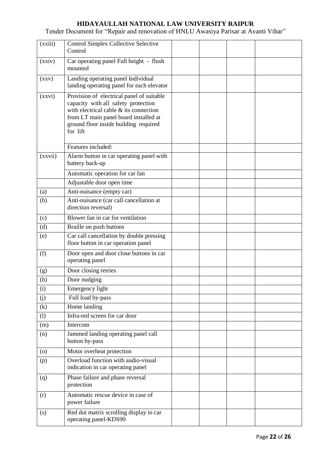| (xxiii)            | <b>Control Simplex Collective Selective</b><br>Control                                                                                                                                                                   |  |  |
|--------------------|--------------------------------------------------------------------------------------------------------------------------------------------------------------------------------------------------------------------------|--|--|
| (xxiv)             | Car operating panel Full height - flush<br>mounted                                                                                                                                                                       |  |  |
| (xxy)              | Landing operating panel Individual<br>landing operating panel for each elevator                                                                                                                                          |  |  |
| (xxvi)             | Provision of electrical panel of suitable<br>capacity with all safety protection<br>with electrical cable & its connection<br>from LT main panel board installed at<br>ground floor inside building required<br>for lift |  |  |
|                    | Features included:                                                                                                                                                                                                       |  |  |
| (xxvii)            | Alarm button in car operating panel with<br>battery back-up                                                                                                                                                              |  |  |
|                    | Automatic operation for car fan                                                                                                                                                                                          |  |  |
|                    | Adjustable door open time                                                                                                                                                                                                |  |  |
| (a)                | Anti-nuisance (empty car)                                                                                                                                                                                                |  |  |
| (b)                | Anti-nuisance (car call cancellation at<br>direction reversal)                                                                                                                                                           |  |  |
| (c)                | Blower fan in car for ventilation                                                                                                                                                                                        |  |  |
| (d)                | Braille on push buttons                                                                                                                                                                                                  |  |  |
| (e)                | Car call cancellation by double pressing<br>floor button in car operation panel                                                                                                                                          |  |  |
| (f)                | Door open and door close buttons in car<br>operating panel                                                                                                                                                               |  |  |
| (g)                | Door closing retries                                                                                                                                                                                                     |  |  |
| (h)                | Door nudging                                                                                                                                                                                                             |  |  |
| (i)                | Emergency light                                                                                                                                                                                                          |  |  |
| (j)                | Full load by-pass                                                                                                                                                                                                        |  |  |
| (k)                | Home landing                                                                                                                                                                                                             |  |  |
| (1)                | Infra-red screen for car door                                                                                                                                                                                            |  |  |
| (m)                | Intercom                                                                                                                                                                                                                 |  |  |
| (n)                | Jammed landing operating panel call<br>button by-pass                                                                                                                                                                    |  |  |
| $\left( 0 \right)$ | Motor overheat protection                                                                                                                                                                                                |  |  |
| (p)                | Overload function with audio-visual<br>indication in car operating panel                                                                                                                                                 |  |  |
| (q)                | Phase failure and phase reversal<br>protection                                                                                                                                                                           |  |  |
| (r)                | Automatic rescue device in case of<br>power failure                                                                                                                                                                      |  |  |
| (s)                | Red dot matrix scrolling display in car<br>operating panel-KDS90                                                                                                                                                         |  |  |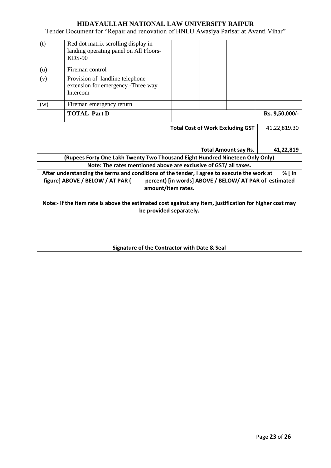| (t)                                                                                                                                                                                                                           | Red dot matrix scrolling display in<br>landing operating panel on All Floors-<br>$KDS-90$ |                             |                |  |  |  |  |
|-------------------------------------------------------------------------------------------------------------------------------------------------------------------------------------------------------------------------------|-------------------------------------------------------------------------------------------|-----------------------------|----------------|--|--|--|--|
| (u)                                                                                                                                                                                                                           | Fireman control                                                                           |                             |                |  |  |  |  |
| (v)                                                                                                                                                                                                                           | Provision of landline telephone<br>extension for emergency -Three way<br>Intercom         |                             |                |  |  |  |  |
| (w)                                                                                                                                                                                                                           | Fireman emergency return                                                                  |                             |                |  |  |  |  |
|                                                                                                                                                                                                                               | <b>TOTAL Part D</b>                                                                       |                             | Rs. 9,50,000/- |  |  |  |  |
|                                                                                                                                                                                                                               | <b>Total Cost of Work Excluding GST</b><br>41,22,819.30                                   |                             |                |  |  |  |  |
|                                                                                                                                                                                                                               |                                                                                           | <b>Total Amount say Rs.</b> | 41,22,819      |  |  |  |  |
|                                                                                                                                                                                                                               | (Rupees Forty One Lakh Twenty Two Thousand Eight Hundred Nineteen Only Only)              |                             |                |  |  |  |  |
|                                                                                                                                                                                                                               | Note: The rates mentioned above are exclusive of GST/ all taxes.                          |                             |                |  |  |  |  |
| % $\int$ in<br>After understanding the terms and conditions of the tender, I agree to execute the work at<br>figure] ABOVE / BELOW / AT PAR (<br>percent) [in words] ABOVE / BELOW/ AT PAR of estimated<br>amount/item rates. |                                                                                           |                             |                |  |  |  |  |
| Note:- If the item rate is above the estimated cost against any item, justification for higher cost may<br>be provided separately.                                                                                            |                                                                                           |                             |                |  |  |  |  |
| Signature of the Contractor with Date & Seal                                                                                                                                                                                  |                                                                                           |                             |                |  |  |  |  |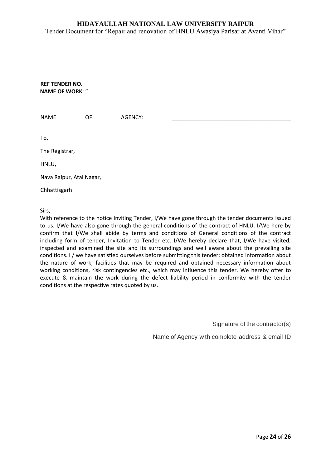Tender Document for "Repair and renovation of HNLU Awasiya Parisar at Avanti Vihar"

**REF TENDER NO. NAME OF WORK**: "

| <b>NAME</b>              | OF | AGENCY: |  |
|--------------------------|----|---------|--|
|                          |    |         |  |
| To,                      |    |         |  |
| The Registrar,           |    |         |  |
| HNLU,                    |    |         |  |
| Nava Raipur, Atal Nagar, |    |         |  |
| Chhattisgarh             |    |         |  |
|                          |    |         |  |

Sirs,

With reference to the notice Inviting Tender, I/We have gone through the tender documents issued to us. I/We have also gone through the general conditions of the contract of HNLU. I/We here by confirm that I/We shall abide by terms and conditions of General conditions of the contract including form of tender, Invitation to Tender etc. I/We hereby declare that, I/We have visited, inspected and examined the site and its surroundings and well aware about the prevailing site conditions. I / we have satisfied ourselves before submitting this tender; obtained information about the nature of work, facilities that may be required and obtained necessary information about working conditions, risk contingencies etc., which may influence this tender. We hereby offer to execute & maintain the work during the defect liability period in conformity with the tender conditions at the respective rates quoted by us.

Signature of the contractor(s)

Name of Agency with complete address & email ID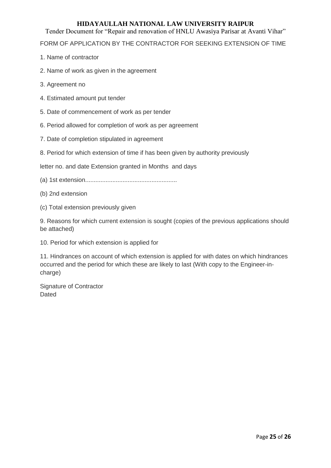Tender Document for "Repair and renovation of HNLU Awasiya Parisar at Avanti Vihar"

FORM OF APPLICATION BY THE CONTRACTOR FOR SEEKING EXTENSION OF TIME

- 1. Name of contractor
- 2. Name of work as given in the agreement
- 3. Agreement no
- 4. Estimated amount put tender
- 5. Date of commencement of work as per tender
- 6. Period allowed for completion of work as per agreement
- 7. Date of completion stipulated in agreement
- 8. Period for which extension of time if has been given by authority previously

letter no. and date Extension granted in Months and days

- (a) 1st extension......................................................
- (b) 2nd extension
- (c) Total extension previously given

9. Reasons for which current extension is sought (copies of the previous applications should be attached)

10. Period for which extension is applied for

11. Hindrances on account of which extension is applied for with dates on which hindrances occurred and the period for which these are likely to last (With copy to the Engineer-incharge)

Signature of Contractor Dated